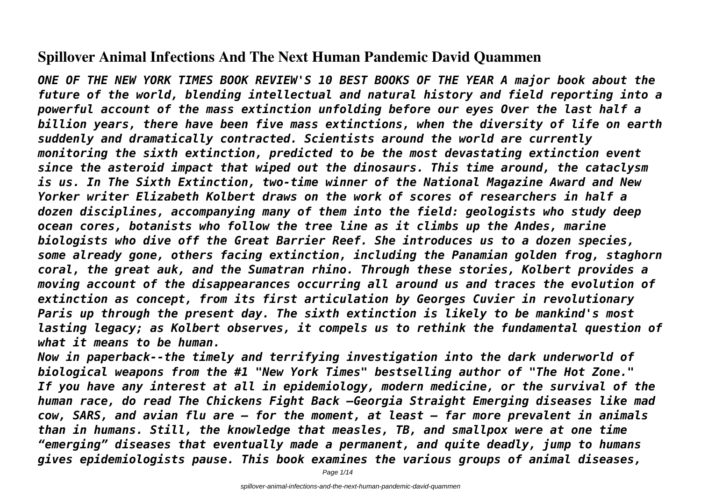# **Spillover Animal Infections And The Next Human Pandemic David Quammen**

*ONE OF THE NEW YORK TIMES BOOK REVIEW'S 10 BEST BOOKS OF THE YEAR A major book about the future of the world, blending intellectual and natural history and field reporting into a powerful account of the mass extinction unfolding before our eyes Over the last half a billion years, there have been five mass extinctions, when the diversity of life on earth suddenly and dramatically contracted. Scientists around the world are currently monitoring the sixth extinction, predicted to be the most devastating extinction event since the asteroid impact that wiped out the dinosaurs. This time around, the cataclysm is us. In The Sixth Extinction, two-time winner of the National Magazine Award and New Yorker writer Elizabeth Kolbert draws on the work of scores of researchers in half a dozen disciplines, accompanying many of them into the field: geologists who study deep ocean cores, botanists who follow the tree line as it climbs up the Andes, marine biologists who dive off the Great Barrier Reef. She introduces us to a dozen species, some already gone, others facing extinction, including the Panamian golden frog, staghorn coral, the great auk, and the Sumatran rhino. Through these stories, Kolbert provides a moving account of the disappearances occurring all around us and traces the evolution of extinction as concept, from its first articulation by Georges Cuvier in revolutionary Paris up through the present day. The sixth extinction is likely to be mankind's most lasting legacy; as Kolbert observes, it compels us to rethink the fundamental question of what it means to be human.*

*Now in paperback--the timely and terrifying investigation into the dark underworld of biological weapons from the #1 "New York Times" bestselling author of "The Hot Zone." If you have any interest at all in epidemiology, modern medicine, or the survival of the human race, do read The Chickens Fight Back —Georgia Straight Emerging diseases like mad cow, SARS, and avian flu are — for the moment, at least — far more prevalent in animals than in humans. Still, the knowledge that measles, TB, and smallpox were at one time "emerging" diseases that eventually made a permanent, and quite deadly, jump to humans gives epidemiologists pause. This book examines the various groups of animal diseases,*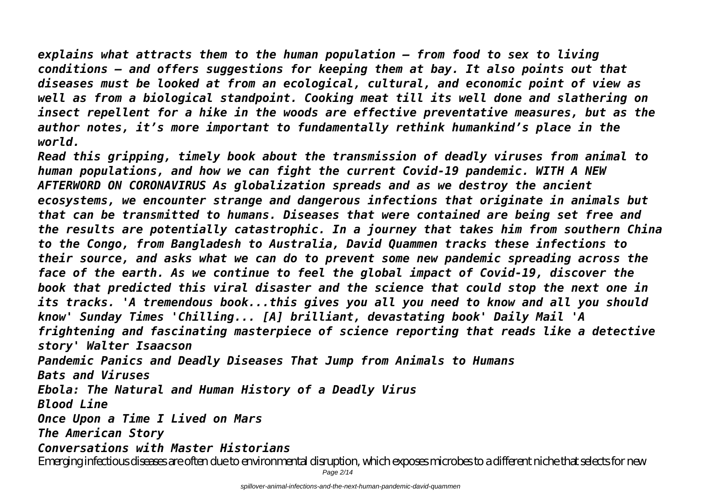*explains what attracts them to the human population — from food to sex to living conditions — and offers suggestions for keeping them at bay. It also points out that diseases must be looked at from an ecological, cultural, and economic point of view as well as from a biological standpoint. Cooking meat till its well done and slathering on insect repellent for a hike in the woods are effective preventative measures, but as the author notes, it's more important to fundamentally rethink humankind's place in the world.*

*Read this gripping, timely book about the transmission of deadly viruses from animal to human populations, and how we can fight the current Covid-19 pandemic. WITH A NEW AFTERWORD ON CORONAVIRUS As globalization spreads and as we destroy the ancient ecosystems, we encounter strange and dangerous infections that originate in animals but that can be transmitted to humans. Diseases that were contained are being set free and the results are potentially catastrophic. In a journey that takes him from southern China to the Congo, from Bangladesh to Australia, David Quammen tracks these infections to their source, and asks what we can do to prevent some new pandemic spreading across the face of the earth. As we continue to feel the global impact of Covid-19, discover the book that predicted this viral disaster and the science that could stop the next one in its tracks. 'A tremendous book...this gives you all you need to know and all you should know' Sunday Times 'Chilling... [A] brilliant, devastating book' Daily Mail 'A frightening and fascinating masterpiece of science reporting that reads like a detective story' Walter Isaacson Pandemic Panics and Deadly Diseases That Jump from Animals to Humans Bats and Viruses Ebola: The Natural and Human History of a Deadly Virus Blood Line Once Upon a Time I Lived on Mars The American Story Conversations with Master Historians*

Emerging infectious diseases are often due to environmental disruption, which exposes microbes to a different niche that selects for new Page 2/14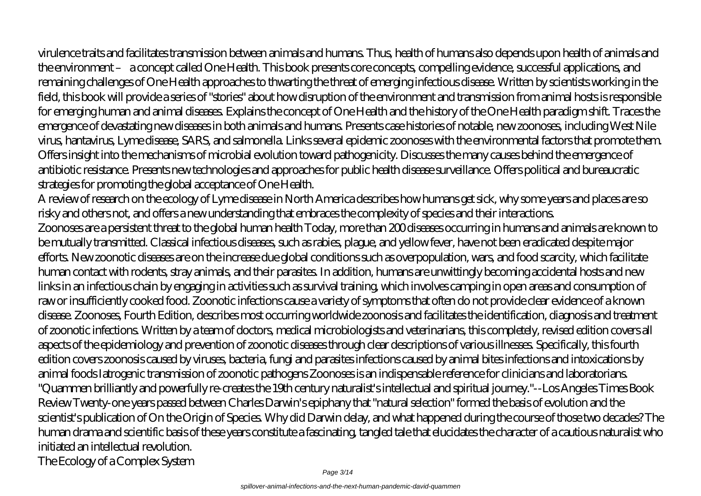virulence traits and facilitates transmission between animals and humans. Thus, health of humans also depends upon health of animals and the environment – a concept called One Health. This book presents core concepts, compelling evidence, successful applications, and remaining challenges of One Health approaches to thwarting the threat of emerging infectious disease. Written by scientists working in the field, this book will provide a series of "stories" about how disruption of the environment and transmission from animal hosts is responsible for emerging human and animal diseases. Explains the concept of One Health and the history of the One Health paradigm shift. Traces the emergence of devastating new diseases in both animals and humans. Presents case histories of notable, new zoonoses, including West Nile virus, hantavirus, Lyme disease, SARS, and salmonella. Links several epidemic zoonoses with the environmental factors that promote them. Offers insight into the mechanisms of microbial evolution toward pathogenicity. Discusses the many causes behind the emergence of antibiotic resistance. Presents new technologies and approaches for public health disease surveillance. Offers political and bureaucratic strategies for promoting the global acceptance of One Health.

A review of research on the ecology of Lyme disease in North America describes how humans get sick, why some years and places are so risky and others not, and offers a new understanding that embraces the complexity of species and their interactions. Zoonoses are a persistent threat to the global human health Today, more than 200 diseases occurring in humans and animals are known to be mutually transmitted. Classical infectious diseases, such as rabies, plague, and yellow fever, have not been eradicated despite major efforts. New zoonotic diseases are on the increase due global conditions such as overpopulation, wars, and food scarcity, which facilitate human contact with rodents, stray animals, and their parasites. In addition, humans are unwittingly becoming accidental hosts and new links in an infectious chain by engaging in activities such as survival training, which involves camping in open areas and consumption of raw or insufficiently cooked food. Zoonotic infections cause a variety of symptoms that often do not provide clear evidence of a known disease. Zoonoses, Fourth Edition, describes most occurring worldwide zoonosis and facilitates the identification, diagnosis and treatment of zoonotic infections. Written by a team of doctors, medical microbiologists and veterinarians, this completely, revised edition covers all aspects of the epidemiology and prevention of zoonotic diseases through clear descriptions of various illnesses. Specifically, this fourth edition covers zoonosis caused by viruses, bacteria, fungi and parasites infections caused by animal bites infections and intoxications by animal foods Iatrogenic transmission of zoonotic pathogens Zoonoses is an indispensable reference for clinicians and laboratorians. "Quammen brilliantly and powerfully re-creates the 19th century naturalist's intellectual and spiritual journey."--Los Angeles Times Book Review Twenty-one years passed between Charles Darwin's epiphany that "natural selection" formed the basis of evolution and the scientist's publication of On the Origin of Species. Why did Darwin delay, and what happened during the course of those two decades? The human drama and scientific basis of these years constitute a fascinating, tangled tale that elucidates the character of a cautious naturalist who initiated an intellectual revolution. The Ecology of a Complex System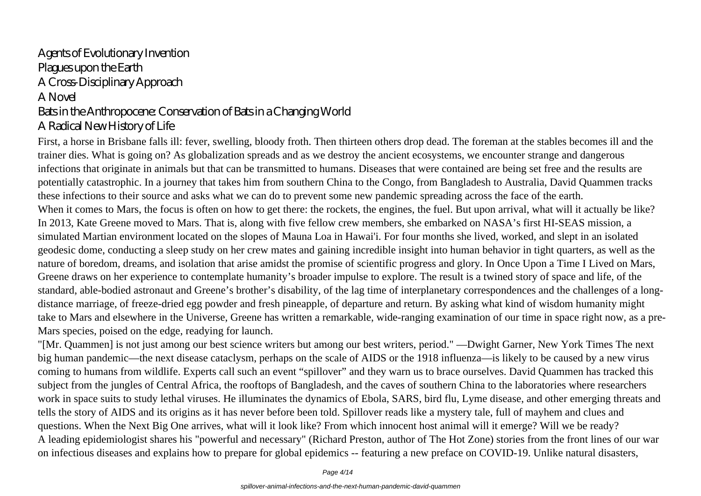# Agents of Evolutionary Invention Plagues upon the Earth A Cross-Disciplinary Approach A Novel Bats in the Anthropocene: Conservation of Bats in a Changing World A Radical New History of Life

First, a horse in Brisbane falls ill: fever, swelling, bloody froth. Then thirteen others drop dead. The foreman at the stables becomes ill and the trainer dies. What is going on? As globalization spreads and as we destroy the ancient ecosystems, we encounter strange and dangerous infections that originate in animals but that can be transmitted to humans. Diseases that were contained are being set free and the results are potentially catastrophic. In a journey that takes him from southern China to the Congo, from Bangladesh to Australia, David Quammen tracks these infections to their source and asks what we can do to prevent some new pandemic spreading across the face of the earth. When it comes to Mars, the focus is often on how to get there: the rockets, the engines, the fuel. But upon arrival, what will it actually be like? In 2013, Kate Greene moved to Mars. That is, along with five fellow crew members, she embarked on NASA's first HI-SEAS mission, a simulated Martian environment located on the slopes of Mauna Loa in Hawai'i. For four months she lived, worked, and slept in an isolated geodesic dome, conducting a sleep study on her crew mates and gaining incredible insight into human behavior in tight quarters, as well as the nature of boredom, dreams, and isolation that arise amidst the promise of scientific progress and glory. In Once Upon a Time I Lived on Mars, Greene draws on her experience to contemplate humanity's broader impulse to explore. The result is a twined story of space and life, of the standard, able-bodied astronaut and Greene's brother's disability, of the lag time of interplanetary correspondences and the challenges of a longdistance marriage, of freeze-dried egg powder and fresh pineapple, of departure and return. By asking what kind of wisdom humanity might take to Mars and elsewhere in the Universe, Greene has written a remarkable, wide-ranging examination of our time in space right now, as a pre-Mars species, poised on the edge, readying for launch.

"[Mr. Quammen] is not just among our best science writers but among our best writers, period." —Dwight Garner, New York Times The next big human pandemic—the next disease cataclysm, perhaps on the scale of AIDS or the 1918 influenza—is likely to be caused by a new virus coming to humans from wildlife. Experts call such an event "spillover" and they warn us to brace ourselves. David Quammen has tracked this subject from the jungles of Central Africa, the rooftops of Bangladesh, and the caves of southern China to the laboratories where researchers work in space suits to study lethal viruses. He illuminates the dynamics of Ebola, SARS, bird flu, Lyme disease, and other emerging threats and tells the story of AIDS and its origins as it has never before been told. Spillover reads like a mystery tale, full of mayhem and clues and questions. When the Next Big One arrives, what will it look like? From which innocent host animal will it emerge? Will we be ready? A leading epidemiologist shares his "powerful and necessary" (Richard Preston, author of The Hot Zone) stories from the front lines of our war on infectious diseases and explains how to prepare for global epidemics -- featuring a new preface on COVID-19. Unlike natural disasters,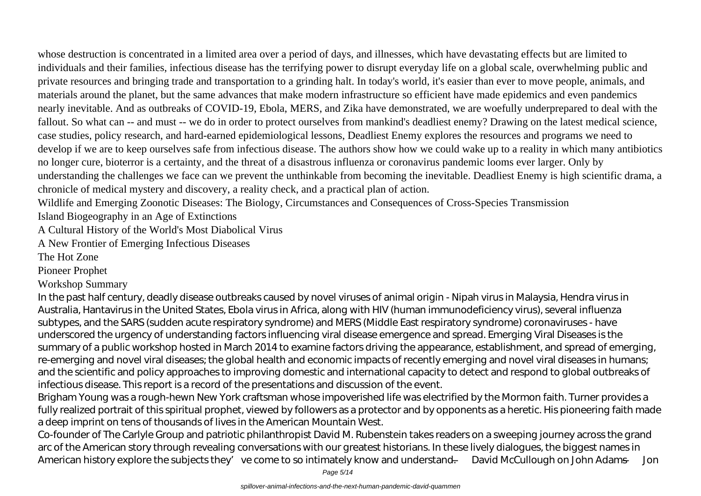whose destruction is concentrated in a limited area over a period of days, and illnesses, which have devastating effects but are limited to individuals and their families, infectious disease has the terrifying power to disrupt everyday life on a global scale, overwhelming public and private resources and bringing trade and transportation to a grinding halt. In today's world, it's easier than ever to move people, animals, and materials around the planet, but the same advances that make modern infrastructure so efficient have made epidemics and even pandemics nearly inevitable. And as outbreaks of COVID-19, Ebola, MERS, and Zika have demonstrated, we are woefully underprepared to deal with the fallout. So what can -- and must -- we do in order to protect ourselves from mankind's deadliest enemy? Drawing on the latest medical science, case studies, policy research, and hard-earned epidemiological lessons, Deadliest Enemy explores the resources and programs we need to develop if we are to keep ourselves safe from infectious disease. The authors show how we could wake up to a reality in which many antibiotics no longer cure, bioterror is a certainty, and the threat of a disastrous influenza or coronavirus pandemic looms ever larger. Only by

understanding the challenges we face can we prevent the unthinkable from becoming the inevitable. Deadliest Enemy is high scientific drama, a chronicle of medical mystery and discovery, a reality check, and a practical plan of action.

Wildlife and Emerging Zoonotic Diseases: The Biology, Circumstances and Consequences of Cross-Species Transmission

Island Biogeography in an Age of Extinctions

A Cultural History of the World's Most Diabolical Virus

A New Frontier of Emerging Infectious Diseases

The Hot Zone

Pioneer Prophet

Workshop Summary

In the past half century, deadly disease outbreaks caused by novel viruses of animal origin - Nipah virus in Malaysia, Hendra virus in Australia, Hantavirus in the United States, Ebola virus in Africa, along with HIV (human immunodeficiency virus), several influenza subtypes, and the SARS (sudden acute respiratory syndrome) and MERS (Middle East respiratory syndrome) coronaviruses - have underscored the urgency of understanding factors influencing viral disease emergence and spread. Emerging Viral Diseases is the summary of a public workshop hosted in March 2014 to examine factors driving the appearance, establishment, and spread of emerging, re-emerging and novel viral diseases; the global health and economic impacts of recently emerging and novel viral diseases in humans; and the scientific and policy approaches to improving domestic and international capacity to detect and respond to global outbreaks of infectious disease. This report is a record of the presentations and discussion of the event.

Brigham Young was a rough-hewn New York craftsman whose impoverished life was electrified by the Mormon faith. Turner provides a fully realized portrait of this spiritual prophet, viewed by followers as a protector and by opponents as a heretic. His pioneering faith made a deep imprint on tens of thousands of lives in the American Mountain West.

Co-founder of The Carlyle Group and patriotic philanthropist David M. Rubenstein takes readers on a sweeping journey across the grand arc of the American story through revealing conversations with our greatest historians. In these lively dialogues, the biggest names in American history explore the subjects they've come to so intimately know and understand. — David McCullough on John Adams — Jon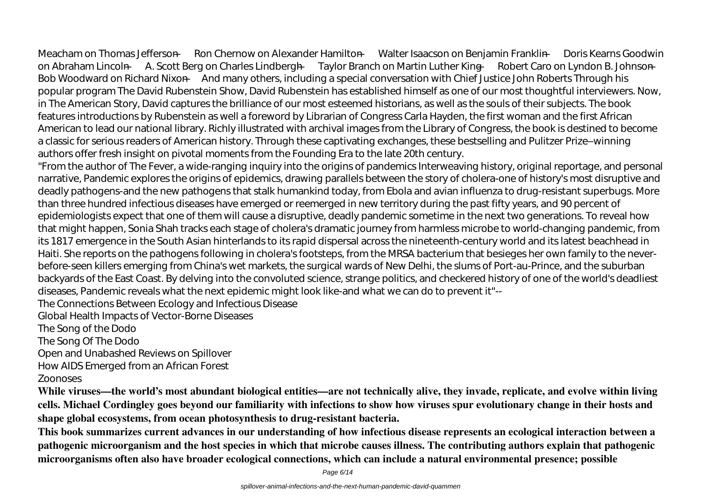Meacham on Thomas Jefferson — Ron Chernow on Alexander Hamilton — Walter Isaacson on Benjamin Franklin — Doris Kearns Goodwin on Abraham Lincoln — A. Scott Berg on Charles Lindbergh — Taylor Branch on Martin Luther King — Robert Caro on Lyndon B. Johnson — Bob Woodward on Richard Nixon —And many others, including a special conversation with Chief Justice John Roberts Through his popular program The David Rubenstein Show, David Rubenstein has established himself as one of our most thoughtful interviewers. Now, in The American Story, David captures the brilliance of our most esteemed historians, as well as the souls of their subjects. The book features introductions by Rubenstein as well a foreword by Librarian of Congress Carla Hayden, the first woman and the first African American to lead our national library. Richly illustrated with archival images from the Library of Congress, the book is destined to become a classic for serious readers of American history. Through these captivating exchanges, these bestselling and Pulitzer Prize–winning authors offer fresh insight on pivotal moments from the Founding Era to the late 20th century.

"From the author of The Fever, a wide-ranging inquiry into the origins of pandemics Interweaving history, original reportage, and personal narrative, Pandemic explores the origins of epidemics, drawing parallels between the story of cholera-one of history's most disruptive and deadly pathogens-and the new pathogens that stalk humankind today, from Ebola and avian influenza to drug-resistant superbugs. More than three hundred infectious diseases have emerged or reemerged in new territory during the past fifty years, and 90 percent of epidemiologists expect that one of them will cause a disruptive, deadly pandemic sometime in the next two generations. To reveal how that might happen, Sonia Shah tracks each stage of cholera's dramatic journey from harmless microbe to world-changing pandemic, from its 1817 emergence in the South Asian hinterlands to its rapid dispersal across the nineteenth-century world and its latest beachhead in Haiti. She reports on the pathogens following in cholera's footsteps, from the MRSA bacterium that besieges her own family to the neverbefore-seen killers emerging from China's wet markets, the surgical wards of New Delhi, the slums of Port-au-Prince, and the suburban backyards of the East Coast. By delving into the convoluted science, strange politics, and checkered history of one of the world's deadliest diseases, Pandemic reveals what the next epidemic might look like-and what we can do to prevent it"--

The Connections Between Ecology and Infectious Disease

Global Health Impacts of Vector-Borne Diseases

The Song of the Dodo

The Song Of The Dodo

Open and Unabashed Reviews on Spillover

How AIDS Emerged from an African Forest

Zoonoses

**While viruses—the world's most abundant biological entities—are not technically alive, they invade, replicate, and evolve within living cells. Michael Cordingley goes beyond our familiarity with infections to show how viruses spur evolutionary change in their hosts and shape global ecosystems, from ocean photosynthesis to drug-resistant bacteria.**

**This book summarizes current advances in our understanding of how infectious disease represents an ecological interaction between a pathogenic microorganism and the host species in which that microbe causes illness. The contributing authors explain that pathogenic microorganisms often also have broader ecological connections, which can include a natural environmental presence; possible**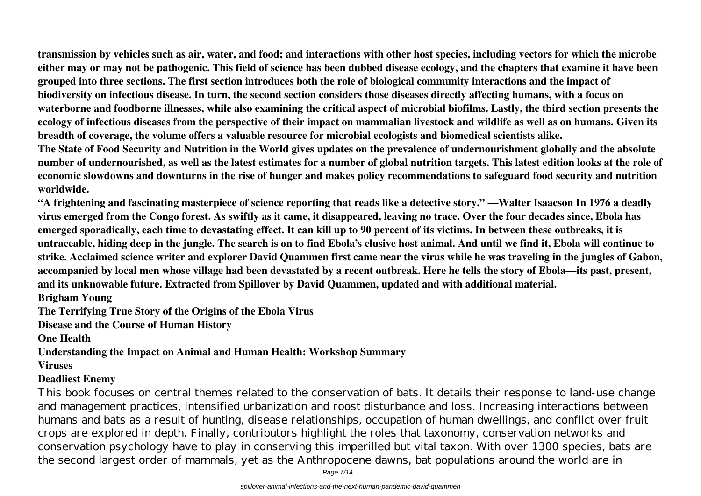**transmission by vehicles such as air, water, and food; and interactions with other host species, including vectors for which the microbe either may or may not be pathogenic. This field of science has been dubbed disease ecology, and the chapters that examine it have been grouped into three sections. The first section introduces both the role of biological community interactions and the impact of biodiversity on infectious disease. In turn, the second section considers those diseases directly affecting humans, with a focus on waterborne and foodborne illnesses, while also examining the critical aspect of microbial biofilms. Lastly, the third section presents the ecology of infectious diseases from the perspective of their impact on mammalian livestock and wildlife as well as on humans. Given its breadth of coverage, the volume offers a valuable resource for microbial ecologists and biomedical scientists alike.**

**The State of Food Security and Nutrition in the World gives updates on the prevalence of undernourishment globally and the absolute number of undernourished, as well as the latest estimates for a number of global nutrition targets. This latest edition looks at the role of economic slowdowns and downturns in the rise of hunger and makes policy recommendations to safeguard food security and nutrition worldwide.**

**"A frightening and fascinating masterpiece of science reporting that reads like a detective story." —Walter Isaacson In 1976 a deadly virus emerged from the Congo forest. As swiftly as it came, it disappeared, leaving no trace. Over the four decades since, Ebola has emerged sporadically, each time to devastating effect. It can kill up to 90 percent of its victims. In between these outbreaks, it is untraceable, hiding deep in the jungle. The search is on to find Ebola's elusive host animal. And until we find it, Ebola will continue to strike. Acclaimed science writer and explorer David Quammen first came near the virus while he was traveling in the jungles of Gabon, accompanied by local men whose village had been devastated by a recent outbreak. Here he tells the story of Ebola—its past, present, and its unknowable future. Extracted from Spillover by David Quammen, updated and with additional material.**

**Brigham Young**

**The Terrifying True Story of the Origins of the Ebola Virus**

**Disease and the Course of Human History**

**One Health**

**Understanding the Impact on Animal and Human Health: Workshop Summary**

**Viruses**

### **Deadliest Enemy**

This book focuses on central themes related to the conservation of bats. It details their response to land-use change and management practices, intensified urbanization and roost disturbance and loss. Increasing interactions between humans and bats as a result of hunting, disease relationships, occupation of human dwellings, and conflict over fruit crops are explored in depth. Finally, contributors highlight the roles that taxonomy, conservation networks and conservation psychology have to play in conserving this imperilled but vital taxon. With over 1300 species, bats are the second largest order of mammals, yet as the Anthropocene dawns, bat populations around the world are in

Page 7/14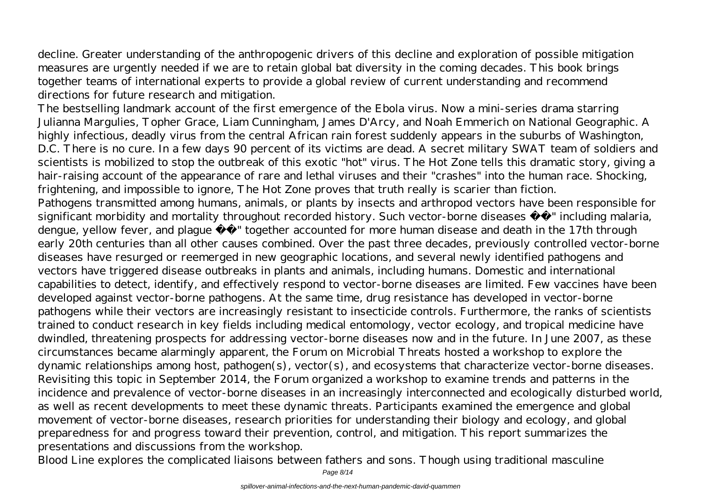decline. Greater understanding of the anthropogenic drivers of this decline and exploration of possible mitigation measures are urgently needed if we are to retain global bat diversity in the coming decades. This book brings together teams of international experts to provide a global review of current understanding and recommend directions for future research and mitigation.

The bestselling landmark account of the first emergence of the Ebola virus. Now a mini-series drama starring Julianna Margulies, Topher Grace, Liam Cunningham, James D'Arcy, and Noah Emmerich on National Geographic. A highly infectious, deadly virus from the central African rain forest suddenly appears in the suburbs of Washington, D.C. There is no cure. In a few days 90 percent of its victims are dead. A secret military SWAT team of soldiers and scientists is mobilized to stop the outbreak of this exotic "hot" virus. The Hot Zone tells this dramatic story, giving a hair-raising account of the appearance of rare and lethal viruses and their "crashes" into the human race. Shocking, frightening, and impossible to ignore, The Hot Zone proves that truth really is scarier than fiction. Pathogens transmitted among humans, animals, or plants by insects and arthropod vectors have been responsible for significant morbidity and mortality throughout recorded history. Such vector-borne diseases  $\hat{a} \in$ " including malaria, dengue, yellow fever, and plague  $\hat{a} \in \mathbb{T}$  together accounted for more human disease and death in the 17th through early 20th centuries than all other causes combined. Over the past three decades, previously controlled vector-borne diseases have resurged or reemerged in new geographic locations, and several newly identified pathogens and vectors have triggered disease outbreaks in plants and animals, including humans. Domestic and international capabilities to detect, identify, and effectively respond to vector-borne diseases are limited. Few vaccines have been developed against vector-borne pathogens. At the same time, drug resistance has developed in vector-borne pathogens while their vectors are increasingly resistant to insecticide controls. Furthermore, the ranks of scientists trained to conduct research in key fields including medical entomology, vector ecology, and tropical medicine have dwindled, threatening prospects for addressing vector-borne diseases now and in the future. In June 2007, as these circumstances became alarmingly apparent, the Forum on Microbial Threats hosted a workshop to explore the dynamic relationships among host, pathogen(s), vector(s), and ecosystems that characterize vector-borne diseases. Revisiting this topic in September 2014, the Forum organized a workshop to examine trends and patterns in the incidence and prevalence of vector-borne diseases in an increasingly interconnected and ecologically disturbed world, as well as recent developments to meet these dynamic threats. Participants examined the emergence and global movement of vector-borne diseases, research priorities for understanding their biology and ecology, and global preparedness for and progress toward their prevention, control, and mitigation. This report summarizes the presentations and discussions from the workshop.

Blood Line explores the complicated liaisons between fathers and sons. Though using traditional masculine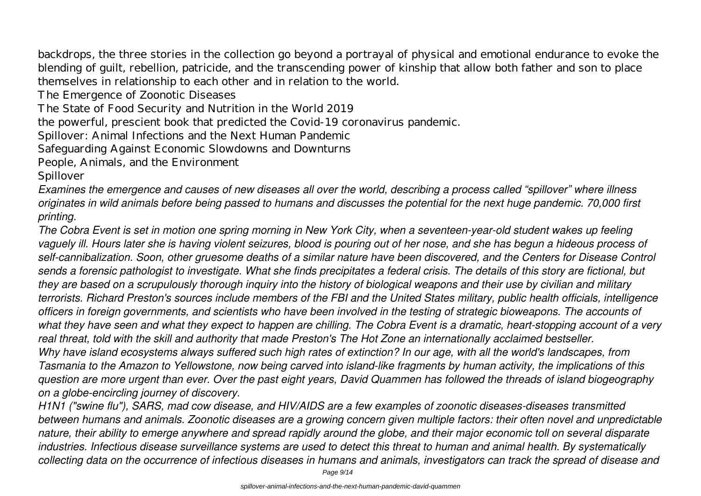backdrops, the three stories in the collection go beyond a portrayal of physical and emotional endurance to evoke the blending of guilt, rebellion, patricide, and the transcending power of kinship that allow both father and son to place themselves in relationship to each other and in relation to the world.

The Emergence of Zoonotic Diseases

The State of Food Security and Nutrition in the World 2019

the powerful, prescient book that predicted the Covid-19 coronavirus pandemic.

Spillover: Animal Infections and the Next Human Pandemic

Safeguarding Against Economic Slowdowns and Downturns

People, Animals, and the Environment

Spillover

*Examines the emergence and causes of new diseases all over the world, describing a process called "spillover" where illness originates in wild animals before being passed to humans and discusses the potential for the next huge pandemic. 70,000 first printing.*

*The Cobra Event is set in motion one spring morning in New York City, when a seventeen-year-old student wakes up feeling vaguely ill. Hours later she is having violent seizures, blood is pouring out of her nose, and she has begun a hideous process of self-cannibalization. Soon, other gruesome deaths of a similar nature have been discovered, and the Centers for Disease Control sends a forensic pathologist to investigate. What she finds precipitates a federal crisis. The details of this story are fictional, but they are based on a scrupulously thorough inquiry into the history of biological weapons and their use by civilian and military terrorists. Richard Preston's sources include members of the FBI and the United States military, public health officials, intelligence officers in foreign governments, and scientists who have been involved in the testing of strategic bioweapons. The accounts of what they have seen and what they expect to happen are chilling. The Cobra Event is a dramatic, heart-stopping account of a very real threat, told with the skill and authority that made Preston's The Hot Zone an internationally acclaimed bestseller. Why have island ecosystems always suffered such high rates of extinction? In our age, with all the world's landscapes, from Tasmania to the Amazon to Yellowstone, now being carved into island-like fragments by human activity, the implications of this question are more urgent than ever. Over the past eight years, David Quammen has followed the threads of island biogeography on a globe-encircling journey of discovery.*

*H1N1 ("swine flu"), SARS, mad cow disease, and HIV/AIDS are a few examples of zoonotic diseases-diseases transmitted between humans and animals. Zoonotic diseases are a growing concern given multiple factors: their often novel and unpredictable nature, their ability to emerge anywhere and spread rapidly around the globe, and their major economic toll on several disparate industries. Infectious disease surveillance systems are used to detect this threat to human and animal health. By systematically collecting data on the occurrence of infectious diseases in humans and animals, investigators can track the spread of disease and*

Page 9/14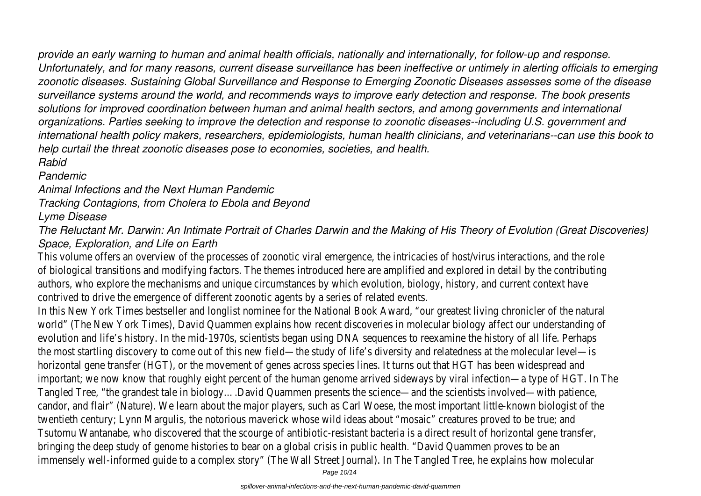*provide an early warning to human and animal health officials, nationally and internationally, for follow-up and response. Unfortunately, and for many reasons, current disease surveillance has been ineffective or untimely in alerting officials to emerging zoonotic diseases. Sustaining Global Surveillance and Response to Emerging Zoonotic Diseases assesses some of the disease surveillance systems around the world, and recommends ways to improve early detection and response. The book presents solutions for improved coordination between human and animal health sectors, and among governments and international organizations. Parties seeking to improve the detection and response to zoonotic diseases--including U.S. government and international health policy makers, researchers, epidemiologists, human health clinicians, and veterinarians--can use this book to help curtail the threat zoonotic diseases pose to economies, societies, and health. Rabid*

# *Pandemic*

*Animal Infections and the Next Human Pandemic*

*Tracking Contagions, from Cholera to Ebola and Beyond*

# *Lyme Disease*

*The Reluctant Mr. Darwin: An Intimate Portrait of Charles Darwin and the Making of His Theory of Evolution (Great Discoveries) Space, Exploration, and Life on Earth*

This volume offers an overview of the processes of zoonotic viral emergence, the intricacies of host/virus interactions, and of biological transitions and modifying factors. The themes introduced here are amplified and explored in detail by the contr authors, who explore the mechanisms and unique circumstances by which evolution, biology, history, and current context h contrived to drive the emergence of different zoonotic agents by a series of related events.

In this New York Times bestseller and longlist nominee for the National Book Award, "our greatest living chronicler of the na world" (The New York Times), David Quammen explains how recent discoveries in molecular biology affect our understanding evolution and life's history. In the mid-1970s, scientists began using DNA sequences to reexamine the history of all life. Per the most startling discovery to come out of this new field—the study of life's diversity and relatedness at the molecular level horizontal gene transfer (HGT), or the movement of genes across species lines. It turns out that HGT has been widespread important; we now know that roughly eight percent of the human genome arrived sideways by viral infection—a type of HG Tangled Tree, "the grandest tale in biology….David Quammen presents the science—and the scientists involved—with patience, candor, and flair" (Nature). We learn about the major players, such as Carl Woese, the most important little-known biologist twentieth century; Lynn Margulis, the notorious maverick whose wild ideas about "mosaic" creatures proved to be true; and Tsutomu Wantanabe, who discovered that the scourge of antibiotic-resistant bacteria is a direct result of horizontal gene t bringing the deep study of genome histories to bear on a global crisis in public health. "David Quammen proves to be an immensely well-informed quide to a complex story" (The Wall Street Journal). In The Tangled Tree, he explains how molecula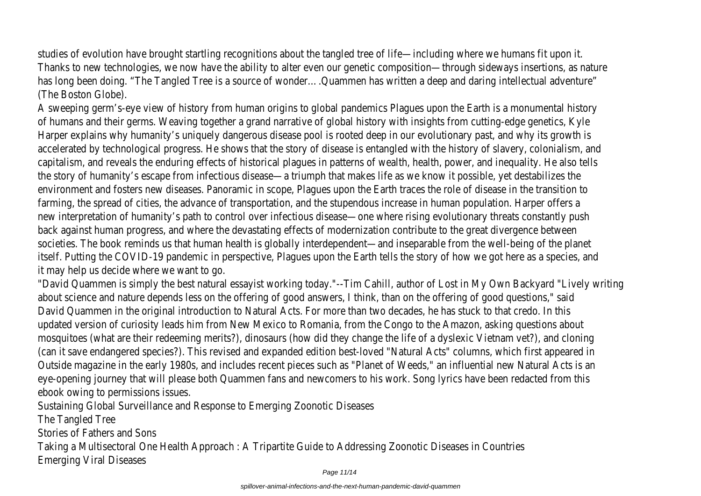studies of evolution have brought startling recognitions about the tangled tree of life—including where we humans fit upor Thanks to new technologies, we now have the ability to alter even our genetic composition—through sideways insertions, as has long been doing. "The Tangled Tree is a source of wonder....Quammen has written a deep and daring intellectual advent (The Boston Globe).

A sweeping germ's-eye view of history from human origins to global pandemics Plagues upon the Earth is a monumental his of humans and their germs. Weaving together a grand narrative of global history with insights from cutting-edge genetics, Harper explains why humanity's uniquely dangerous disease pool is rooted deep in our evolutionary past, and why its growt accelerated by technological progress. He shows that the story of disease is entangled with the history of slavery, colonial capitalism, and reveals the enduring effects of historical plagues in patterns of wealth, health, power, and inequality. He als the story of humanity's escape from infectious disease—a triumph that makes life as we know it possible, yet destabilizes environment and fosters new diseases. Panoramic in scope, Plagues upon the Earth traces the role of disease in the transit farming, the spread of cities, the advance of transportation, and the stupendous increase in human population. Harper offer new interpretation of humanity's path to control over infectious disease—one where rising evolutionary threats constantly back against human progress, and where the devastating effects of modernization contribute to the great divergence betw societies. The book reminds us that human health is globally interdependent—and inseparable from the well-being of the pla itself. Putting the COVID-19 pandemic in perspective, Plagues upon the Earth tells the story of how we got here as a specie it may help us decide where we want to go.

"David Quammen is simply the best natural essayist working today."--Tim Cahill, author of Lost in My Own Backyard "Lively about science and nature depends less on the offering of good answers, I think, than on the offering of good questions," said David Quammen in the original introduction to Natural Acts. For more than two decades, he has stuck to that credo. In this updated version of curiosity leads him from New Mexico to Romania, from the Congo to the Amazon, asking questions abou mosquitoes (what are their redeeming merits?), dinosaurs (how did they change the life of a dyslexic Vietnam vet?), and clo (can it save endangered species?). This revised and expanded edition best-loved "Natural Acts" columns, which first appeare Outside magazine in the early 1980s, and includes recent pieces such as "Planet of Weeds," an influential new Natural Acts eye-opening journey that will please both Quammen fans and newcomers to his work. Song lyrics have been redacted from ebook owing to permissions issues.

Sustaining Global Surveillance and Response to Emerging Zoonotic Diseases

The Tangled Tree

Stories of Fathers and Sons

Taking a Multisectoral One Health Approach : A Tripartite Guide to Addressing Zoonotic Diseases in Countries Emerging Viral Diseases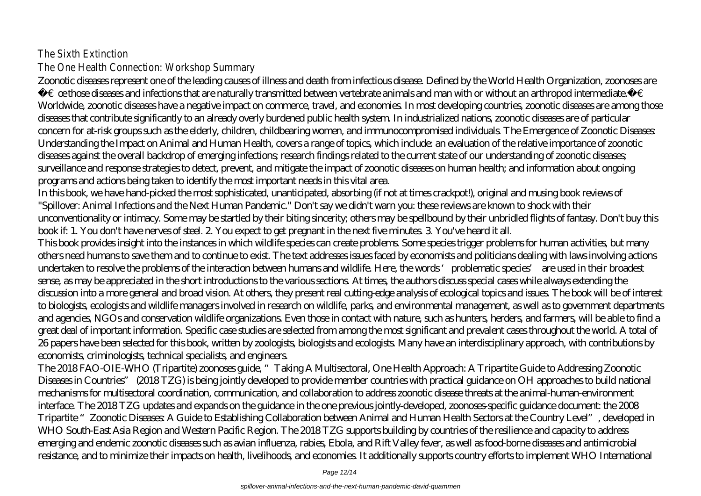# The Sixth Extinction The One Health Connection: Workshop Summary

Zoonotic diseases represent one of the leading causes of illness and death from infectious disease. Defined by the World Health Organization, zoonoses are  $\hat{a}\in\hat{c}$  cethose diseases and infections that are naturally transmitted between vertebrate animals and man with or without an arthropod intermediate.â Worldwide, zoonotic diseases have a negative impact on commerce, travel, and economies. In most developing countries, zoonotic diseases are among those diseases that contribute significantly to an already overly burdened public health system. In industrialized nations, zoonotic diseases are of particular concern for at-risk groups such as the elderly, children, childbearing women, and immunocompromised individuals. The Emergence of Zoonotic Diseases: Understanding the Impact on Animal and Human Health, covers a range of topics, which include: an evaluation of the relative importance of zoonotic diseases against the overall backdrop of emerging infections; research findings related to the current state of our understanding of zoonotic diseases; surveillance and response strategies to detect, prevent, and mitigate the impact of zoonotic diseases on human health; and information about ongoing programs and actions being taken to identify the most important needs in this vital area.

In this book, we have hand-picked the most sophisticated, unanticipated, absorbing (if not at times crackpot!), original and musing book reviews of "Spillover: Animal Infections and the Next Human Pandemic." Don't say we didn't warn you: these reviews are known to shock with their unconventionality or intimacy. Some may be startled by their biting sincerity; others may be spellbound by their unbridled flights of fantasy. Don't buy this book if: 1. You don't have nerves of steel. 2. You expect to get pregnant in the next five minutes. 3. You've heard it all.

This book provides insight into the instances in which wildlife species can create problems. Some species trigger problems for human activities, but many others need humans to save them and to continue to exist. The text addresses issues faced by economists and politicians dealing with laws involving actions undertaken to resolve the problems of the interaction between humans and wildlife. Here, the words 'problematic species' are used in their broadest sense, as may be appreciated in the short introductions to the various sections. At times, the authors discuss special cases while always extending the discussion into a more general and broad vision. At others, they present real cutting-edge analysis of ecological topics and issues. The book will be of interest to biologists, ecologists and wildlife managers involved in research on wildlife, parks, and environmental management, as well as to government departments and agencies, NGOs and conservation wildlife organizations. Even those in contact with nature, such as hunters, herders, and farmers, will be able to find a great deal of important information. Specific case studies are selected from among the most significant and prevalent cases throughout the world. A total of 26 papers have been selected for this book, written by zoologists, biologists and ecologists. Many have an interdisciplinary approach, with contributions by economists, criminologists, technical specialists, and engineers.

The 2018 FAO-OIE-WHO (Tripartite) zoonoses guide, "Taking A Multisectoral, One Health Approach: A Tripartite Guide to Addressing Zoonotic Diseases in Countries" (2018 TZG) is being jointly developed to provide member countries with practical guidance on OH approaches to build national mechanisms for multisectoral coordination, communication, and collaboration to address zoonotic disease threats at the animal-human-environment interface. The 2018 TZG updates and expands on the guidance in the one previous jointly-developed, zoonoses-specific guidance document: the 2008 Tripartite "Zoonotic Diseases: A Guide to Establishing Collaboration between Animal and Human Health Sectors at the Country Level", developed in WHO South-East Asia Region and Western Pacific Region. The 2018 TZG supports building by countries of the resilience and capacity to address emerging and endemic zoonotic diseases such as avian influenza, rabies, Ebola, and Rift Valley fever, as well as food-borne diseases and antimicrobial resistance, and to minimize their impacts on health, livelihoods, and economies. It additionally supports country efforts to implement WHO International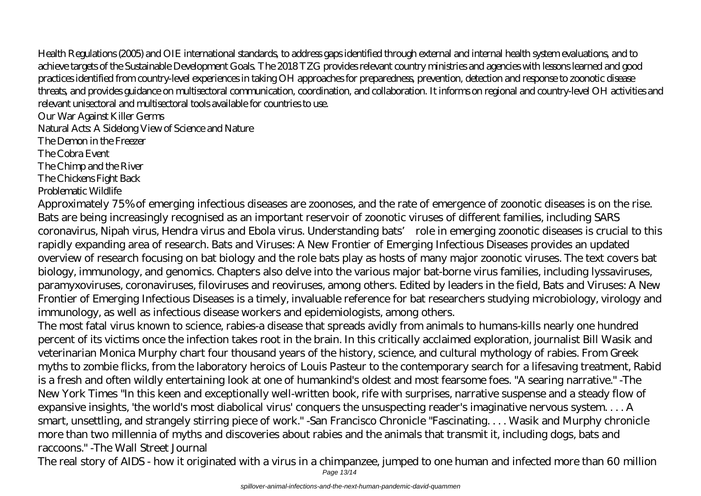Health Regulations (2005) and OIE international standards, to address gaps identified through external and internal health system evaluations, and to achieve targets of the Sustainable Development Goals. The 2018 TZG provides relevant country ministries and agencies with lessons learned and good practices identified from country-level experiences in taking OH approaches for preparedness, prevention, detection and response to zoonotic disease threats, and provides guidance on multisectoral communication, coordination, and collaboration. It informs on regional and country-level OH activities and relevant unisectoral and multisectoral tools available for countries to use.

Our War Against Killer Germs

Natural Acts: A Sidelong View of Science and Nature

The Demon in the Freezer

The Cobra Event

The Chimp and the River

The Chickens Fight Back

Problematic Wildlife

Approximately 75% of emerging infectious diseases are zoonoses, and the rate of emergence of zoonotic diseases is on the rise. Bats are being increasingly recognised as an important reservoir of zoonotic viruses of different families, including SARS coronavirus, Nipah virus, Hendra virus and Ebola virus. Understanding bats' role in emerging zoonotic diseases is crucial to this rapidly expanding area of research. Bats and Viruses: A New Frontier of Emerging Infectious Diseases provides an updated overview of research focusing on bat biology and the role bats play as hosts of many major zoonotic viruses. The text covers bat biology, immunology, and genomics. Chapters also delve into the various major bat-borne virus families, including lyssaviruses, paramyxoviruses, coronaviruses, filoviruses and reoviruses, among others. Edited by leaders in the field, Bats and Viruses: A New Frontier of Emerging Infectious Diseases is a timely, invaluable reference for bat researchers studying microbiology, virology and immunology, as well as infectious disease workers and epidemiologists, among others.

The most fatal virus known to science, rabies-a disease that spreads avidly from animals to humans-kills nearly one hundred percent of its victims once the infection takes root in the brain. In this critically acclaimed exploration, journalist Bill Wasik and veterinarian Monica Murphy chart four thousand years of the history, science, and cultural mythology of rabies. From Greek myths to zombie flicks, from the laboratory heroics of Louis Pasteur to the contemporary search for a lifesaving treatment, Rabid is a fresh and often wildly entertaining look at one of humankind's oldest and most fearsome foes. "A searing narrative." -The New York Times "In this keen and exceptionally well-written book, rife with surprises, narrative suspense and a steady flow of expansive insights, 'the world's most diabolical virus' conquers the unsuspecting reader's imaginative nervous system. . . . A smart, unsettling, and strangely stirring piece of work." -San Francisco Chronicle "Fascinating. . . . Wasik and Murphy chronicle more than two millennia of myths and discoveries about rabies and the animals that transmit it, including dogs, bats and raccoons." -The Wall Street Journal

The real story of AIDS - how it originated with a virus in a chimpanzee, jumped to one human and infected more than 60 million Page 13/14